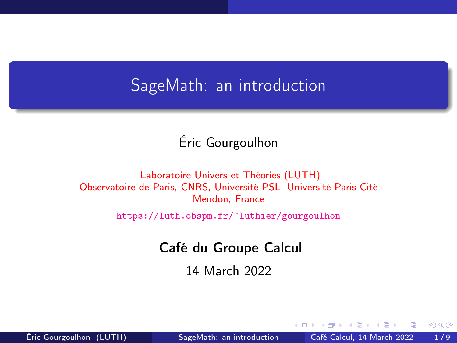# <span id="page-0-0"></span>SageMath: an introduction

### Éric Gourgoulhon

#### [Laboratoire Univers et Théories \(LUTH\)](https://luth.obspm.fr) Observatoire de Paris, CNRS, Université PSL, Université Paris Cité Meudon, France

<https://luth.obspm.fr/~luthier/gourgoulhon>

#### Café du Groupe Calcul

14 March 2022

4 **E** F

 $QQ$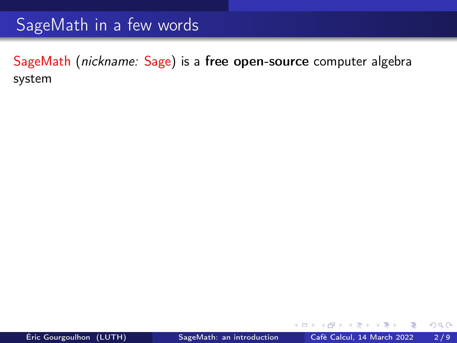# SageMath in a few words

SageMath (nickname: Sage) is a free open-source computer algebra system

э

4 D F

 $299$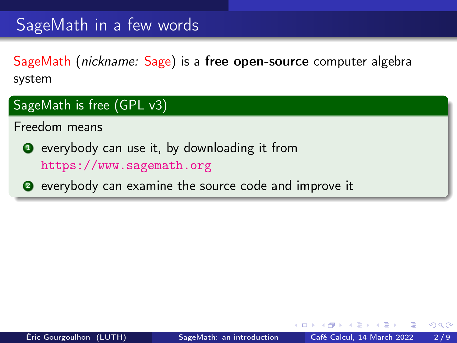# SageMath in a few words

SageMath (nickname: Sage) is a free open-source computer algebra system

#### SageMath is free (GPL v3)

Freedom means

**1** everybody can use it, by downloading it from <https://www.sagemath.org>

<sup>2</sup> everybody can examine the source code and improve it

 $\leftarrow$   $\Box$ 

 $200$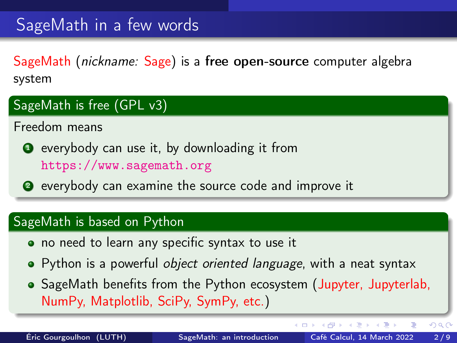# SageMath in a few words

SageMath (nickname: Sage) is a free open-source computer algebra system

#### SageMath is free (GPL v3)

Freedom means

- **1** everybody can use it, by downloading it from <https://www.sagemath.org>
- <sup>2</sup> everybody can examine the source code and improve it

#### SageMath is based on Python

- no need to learn any specific syntax to use it
- Python is a powerful *object oriented language*, with a neat syntax
- SageMath benefits from the Python ecosystem (Jupyter, Jupyterlab, NumPy, Matplotlib, SciPy, SymPy, etc.)

4 D F

4 同 )

 $QQ$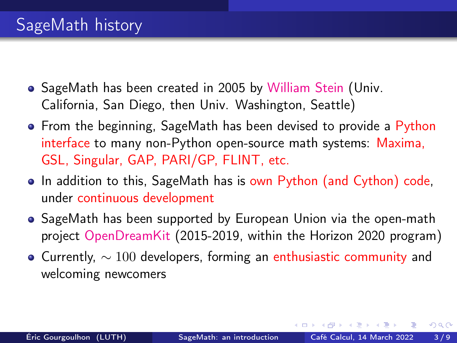- <span id="page-4-0"></span>• SageMath has been created in 2005 by [William Stein](https://wstein.org/) (Univ. California, San Diego, then Univ. Washington, Seattle)
- From the beginning, SageMath has been devised to provide a Python interface to many non-Python open-source math systems: Maxima, GSL, Singular, GAP, PARI/GP, FLINT, etc.
- In addition to this, SageMath has is own Python (and Cython) code, under continuous development
- SageMath has been supported by European Union via the open-math project [OpenDreamKit](https://opendreamkit.org/) (2015-2019, within the Horizon 2020 program)
- Currently,  $\sim 100$  developers, forming an enthusiastic community and welcoming newcomers

 $200$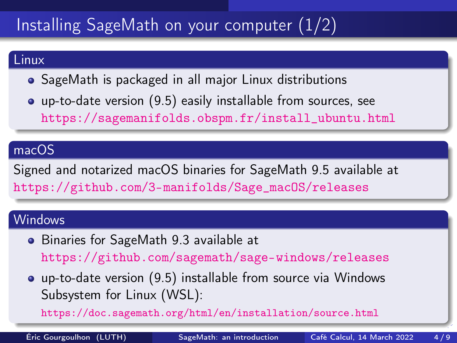# <span id="page-5-0"></span>Installing SageMath on your computer (1/2)

#### Linux

- SageMath is packaged in all major Linux distributions
- up-to-date version (9.5) easily installable from sources, see [https://sagemanifolds.obspm.fr/install\\_ubuntu.html](https://sagemanifolds.obspm.fr/install_ubuntu.html)

#### macOS

Signed and notarized macOS binaries for SageMath 9.5 available at [https://github.com/3-manifolds/Sage\\_macOS/releases](https://github.com/3-manifolds/Sage_macOS/releases)

#### **Windows**

- Binaries for SageMath 9.3 available at <https://github.com/sagemath/sage-windows/releases>
- up-to-date version (9.5) installable from source via Windows Subsystem for Linux (WSL):

<https://doc.sagemath.org/html/en/installation/source.html>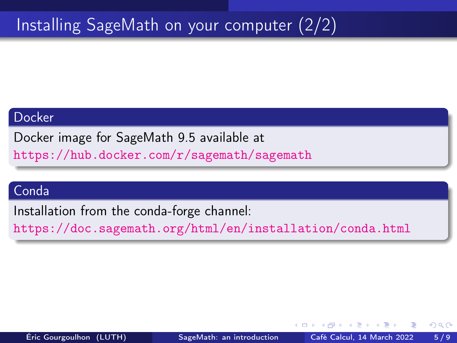# <span id="page-6-0"></span>Installing SageMath on your computer (2/2)

#### Docker

Docker image for SageMath 9.5 available at

<https://hub.docker.com/r/sagemath/sagemath>

#### Conda

Installation from the conda-forge channel:

<https://doc.sagemath.org/html/en/installation/conda.html>

 $200$ 

何 ▶ ヨ ヨ ▶ ヨ ヨ ▶

4 D F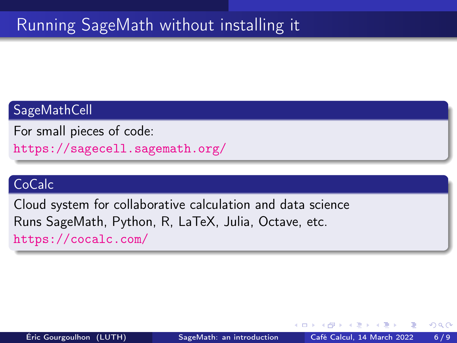# Running SageMath without installing it

#### SageMathCell

For small pieces of code: <https://sagecell.sagemath.org/>

#### **CoCalc**

Cloud system for collaborative calculation and data science Runs SageMath, Python, R, LaTeX, Julia, Octave, etc. <https://cocalc.com/>

 $\Omega$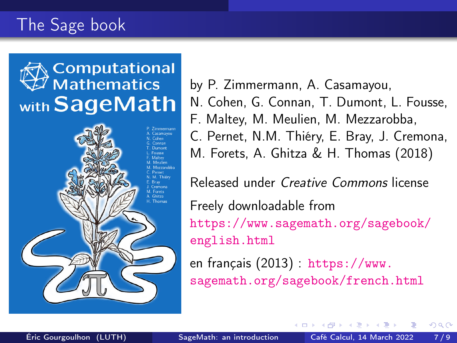# The Sage book





by P. Zimmermann, A. Casamayou, N. Cohen, G. Connan, T. Dumont, L. Fousse, F. Maltey, M. Meulien, M. Mezzarobba, C. Pernet, N.M. Thiéry, E. Bray, J. Cremona, M. Forets, A. Ghitza & H. Thomas (2018) Released under Creative Commons license Freely downloadable from [https://www.sagemath.org/sagebook/](https://www.sagemath.org/sagebook/english.html)

[english.html](https://www.sagemath.org/sagebook/english.html)

en français (2013) : [https://www.](https://www.sagemath.org/sagebook/french.html) [sagemath.org/sagebook/french.html](https://www.sagemath.org/sagebook/french.html)

 $\leftarrow$   $\Box$ 

つひひ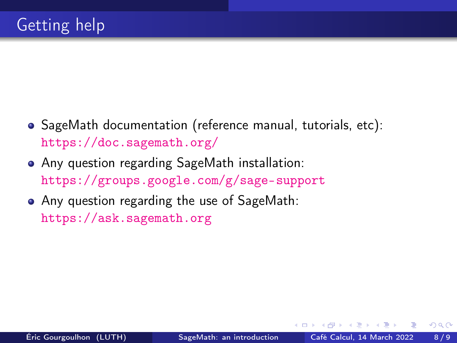- SageMath documentation (reference manual, tutorials, etc): <https://doc.sagemath.org/>
- Any question regarding SageMath installation: <https://groups.google.com/g/sage-support>
- Any question regarding the use of SageMath: <https://ask.sagemath.org>

 $\Omega$